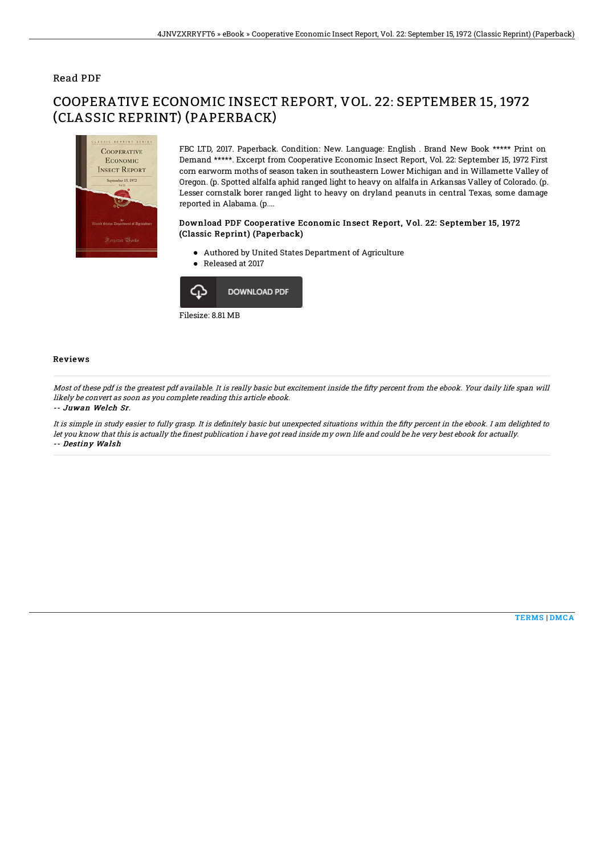### Read PDF

# COOPERATIVE ECONOMIC INSECT REPORT, VOL. 22: SEPTEMBER 15, 1972 (CLASSIC REPRINT) (PAPERBACK)



FBC LTD, 2017. Paperback. Condition: New. Language: English . Brand New Book \*\*\*\*\* Print on Demand \*\*\*\*\*. Excerpt from Cooperative Economic Insect Report, Vol. 22: September 15, 1972 First corn earworm moths of season taken in southeastern Lower Michigan and in Willamette Valley of Oregon. (p. Spotted alfalfa aphid ranged light to heavy on alfalfa in Arkansas Valley of Colorado. (p. Lesser cornstalk borer ranged light to heavy on dryland peanuts in central Texas, some damage reported in Alabama. (p....

#### Download PDF Cooperative Economic Insect Report, Vol. 22: September 15, 1972 (Classic Reprint) (Paperback)

- Authored by United States Department of Agriculture
- Released at 2017



# Reviews

Most of these pdf is the greatest pdf available. It is really basic but excitement inside the fifty percent from the ebook. Your daily life span will likely be convert as soon as you complete reading this article ebook.

#### -- Juwan Welch Sr.

It is simple in study easier to fully grasp. It is definitely basic but unexpected situations within the fifty percent in the ebook. I am delighted to let you know that this is actually the finest publication i have got read inside my own life and could be he very best ebook for actually. -- Destiny Walsh